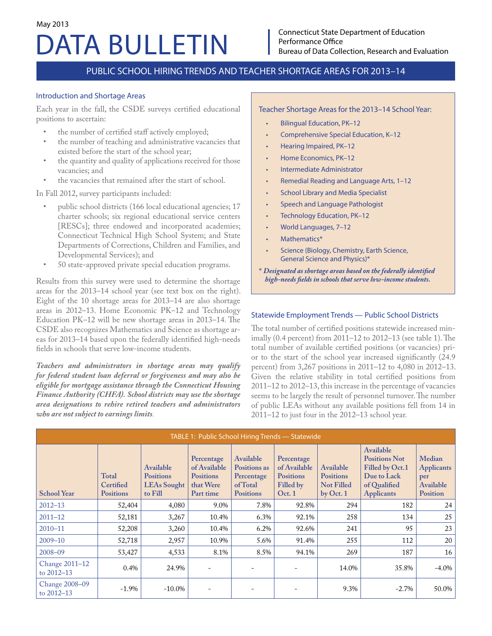# DATA BULLETIN May 2013

# PUBLIC SCHOOL HIRING TRENDS AND TEACHER SHORTAGE AREAS FOR 2013–14

#### Introduction and Shortage Areas

Each year in the fall, the CSDE surveys certified educational positions to ascertain:

- the number of certified staff actively employed;
- the number of teaching and administrative vacancies that existed before the start of the school year;
- the quantity and quality of applications received for those vacancies; and
- the vacancies that remained after the start of school.

In Fall 2012, survey participants included:

- public school districts (166 local educational agencies; 17 charter schools; six regional educational service centers [RESCs]; three endowed and incorporated academies; Connecticut Technical High School System; and State Departments of Corrections, Children and Families, and Developmental Services); and
- 50 state-approved private special education programs.

Results from this survey were used to determine the shortage areas for the 2013–14 school year (see text box on the right). Eight of the 10 shortage areas for 2013–14 are also shortage areas in 2012–13. Home Economic PK–12 and Technology Education PK–12 will be new shortage areas in 2013–14. The CSDE also recognizes Mathematics and Science as shortage areas for 2013–14 based upon the federally identified high-needs fields in schools that serve low-income students.

*Teachers and administrators in shortage areas may qualify for federal student loan deferral or forgiveness and may also be eligible for mortgage assistance through the Connecticut Housing Finance Authority (CHFA). School districts may use the shortage area designations to rehire retired teachers and administrators who are not subject to earnings limits.*

Teacher Shortage Areas for the 2013–14 School Year:

- Bilingual Education, PK–12
- Comprehensive Special Education, K–12
- Hearing Impaired, PK–12
- Home Economics, PK–12
- Intermediate Administrator
- Remedial Reading and Language Arts, 1–12
- School Library and Media Specialist
- Speech and Language Pathologist
- Technology Education, PK–12
- World Languages, 7–12
- Mathematics\*
- Science (Biology, Chemistry, Earth Science, General Science and Physics)\*
- \* *Designated as shortage areas based on the federally identified high-needs fields in schools that serve low-income students.*

### Statewide Employment Trends — Public School Districts

The total number of certified positions statewide increased minimally (0.4 percent) from 2011–12 to 2012–13 (see table 1). The total number of available certified positions (or vacancies) prior to the start of the school year increased significantly (24.9 percent) from 3,267 positions in 2011–12 to 4,080 in 2012–13. Given the relative stability in total certified positions from 2011–12 to 2012–13, this increase in the percentage of vacancies seems to be largely the result of personnel turnover. The number of public LEAs without any available positions fell from 14 in 2011–12 to just four in the 2012–13 school year.

| TABLE 1: Public School Hiring Trends - Statewide |                                               |                                                                |                                                                          |                                                                         |                                                                       |                                                                 |                                                                                                          |                                                                    |
|--------------------------------------------------|-----------------------------------------------|----------------------------------------------------------------|--------------------------------------------------------------------------|-------------------------------------------------------------------------|-----------------------------------------------------------------------|-----------------------------------------------------------------|----------------------------------------------------------------------------------------------------------|--------------------------------------------------------------------|
| <b>School Year</b>                               | <b>Total</b><br>Certified<br><b>Positions</b> | Available<br><b>Positions</b><br><b>LEAs Sought</b><br>to Fill | Percentage<br>of Available<br><b>Positions</b><br>that Were<br>Part time | Available<br>Positions as<br>Percentage<br>of Total<br><b>Positions</b> | Percentage<br>of Available<br><b>Positions</b><br>Filled by<br>Oct. 1 | Available<br><b>Positions</b><br><b>Not Filled</b><br>by Oct. 1 | Available<br><b>Positions Not</b><br>Filled by Oct.1<br>Due to Lack<br>of Qualified<br><b>Applicants</b> | Median<br><b>Applicants</b><br>per<br>Available<br><b>Position</b> |
| $2012 - 13$                                      | 52,404                                        | 4,080                                                          | 9.0%                                                                     | 7.8%                                                                    | 92.8%                                                                 | 294                                                             | 182                                                                                                      | 24                                                                 |
| $2011 - 12$                                      | 52,181                                        | 3,267                                                          | 10.4%                                                                    | 6.3%                                                                    | 92.1%                                                                 | 258                                                             | 134                                                                                                      | 25                                                                 |
| $2010 - 11$                                      | 52,208                                        | 3,260                                                          | 10.4%                                                                    | 6.2%                                                                    | 92.6%                                                                 | 241                                                             | 95                                                                                                       | 23                                                                 |
| $2009 - 10$                                      | 52,718                                        | 2,957                                                          | 10.9%                                                                    | 5.6%                                                                    | 91.4%                                                                 | 255                                                             | 112                                                                                                      | 20                                                                 |
| $2008 - 09$                                      | 53,427                                        | 4,533                                                          | 8.1%                                                                     | 8.5%                                                                    | 94.1%                                                                 | 269                                                             | 187                                                                                                      | 16                                                                 |
| Change 2011-12<br>to 2012-13                     | 0.4%                                          | 24.9%                                                          |                                                                          |                                                                         |                                                                       | 14.0%                                                           | 35.8%                                                                                                    | $-4.0\%$                                                           |
| Change 2008-09<br>to 2012-13                     | $-1.9\%$                                      | $-10.0\%$                                                      |                                                                          |                                                                         |                                                                       | 9.3%                                                            | $-2.7%$                                                                                                  | 50.0%                                                              |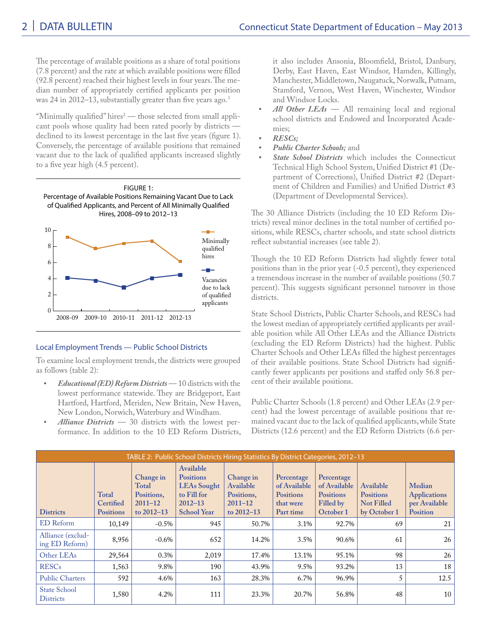The percentage of available positions as a share of total positions (7.8 percent) and the rate at which available positions were filled (92.8 percent) reached their highest levels in four years. The median number of appropriately certified applicants per position was 24 in 2012-13, substantially greater than five years ago.<sup>1</sup>

"Minimally qualified" hires $^2$  — those selected from small applicant pools whose quality had been rated poorly by districts declined to its lowest percentage in the last five years (figure 1). Conversely, the percentage of available positions that remained vacant due to the lack of qualified applicants increased slightly to a five year high (4.5 percent).



# Local Employment Trends — Public School Districts

To examine local employment trends, the districts were grouped as follows (table 2):

- *• Educational (ED) Reform Districts* 10 districts with the lowest performance statewide. They are Bridgeport, East Hartford, Hartford, Meriden, New Britain, New Haven, New London, Norwich, Waterbury and Windham.
- *• Alliance Districts* 30 districts with the lowest performance. In addition to the 10 ED Reform Districts,

it also includes Ansonia, Bloomfield, Bristol, Danbury, Derby, East Haven, East Windsor, Hamden, Killingly, Manchester, Middletown, Naugatuck, Norwalk, Putnam, Stamford, Vernon, West Haven, Winchester, Windsor and Windsor Locks.

- All Other LEAs All remaining local and regional school districts and Endowed and Incorporated Academies;
- *• RESCs;*
- *• Public Charter Schools;* and
- *• State School Districts* which includes the Connecticut Technical High School System, Unified District #1 (Department of Corrections), Unified District #2 (Department of Children and Families) and Unified District #3 (Department of Developmental Services).

The 30 Alliance Districts (including the 10 ED Reform Districts) reveal minor declines in the total number of certified positions, while RESCs, charter schools, and state school districts reflect substantial increases (see table 2).

Though the 10 ED Reform Districts had slightly fewer total positions than in the prior year (-0.5 percent), they experienced a tremendous increase in the number of available positions (50.7 percent). This suggests significant personnel turnover in those districts.

State School Districts, Public Charter Schools, and RESCs had the lowest median of appropriately certified applicants per available position while All Other LEAs and the Alliance Districts (excluding the ED Reform Districts) had the highest. Public Charter Schools and Other LEAs filled the highest percentages of their available positions. State School Districts had significantly fewer applicants per positions and staffed only 56.8 percent of their available positions.

Public Charter Schools (1.8 percent) and Other LEAs (2.9 percent) had the lowest percentage of available positions that remained vacant due to the lack of qualified applicants, while State Districts (12.6 percent) and the ED Reform Districts (6.6 per-

|                                         | TABLE 2: Public School Districts Hiring Statistics By District Categories, 2012-13 |                                                                   |                                                                                                         |                                                                       |                                                                          |                                                                          |                                                                    |                                                            |
|-----------------------------------------|------------------------------------------------------------------------------------|-------------------------------------------------------------------|---------------------------------------------------------------------------------------------------------|-----------------------------------------------------------------------|--------------------------------------------------------------------------|--------------------------------------------------------------------------|--------------------------------------------------------------------|------------------------------------------------------------|
| <b>Districts</b>                        | Total<br>Certified<br><b>Positions</b>                                             | Change in<br>Total<br>Positions,<br>$2011 - 12$<br>to $2012 - 13$ | Available<br><b>Positions</b><br><b>LEAs Sought</b><br>to Fill for<br>$2012 - 13$<br><b>School Year</b> | Change in<br>Available<br>Positions,<br>$2011 - 12$<br>to $2012 - 13$ | Percentage<br>of Available<br><b>Positions</b><br>that were<br>Part time | Percentage<br>of Available<br><b>Positions</b><br>Filled by<br>October 1 | Available<br><b>Positions</b><br><b>Not Filled</b><br>by October 1 | Median<br><b>Applications</b><br>per Available<br>Position |
| <b>ED</b> Reform                        | 10,149                                                                             | $-0.5\%$                                                          | 945                                                                                                     | 50.7%                                                                 | 3.1%                                                                     | 92.7%                                                                    | 69                                                                 | 21                                                         |
| Alliance (exclud-<br>ing ED Reform)     | 8,956                                                                              | $-0.6\%$                                                          | 652                                                                                                     | 14.2%                                                                 | 3.5%                                                                     | 90.6%                                                                    | 61                                                                 | 26                                                         |
| Other LEAs                              | 29,564                                                                             | 0.3%                                                              | 2,019                                                                                                   | 17.4%                                                                 | 13.1%                                                                    | 95.1%                                                                    | 98                                                                 | 26                                                         |
| <b>RESCs</b>                            | 1,563                                                                              | 9.8%                                                              | 190                                                                                                     | 43.9%                                                                 | 9.5%                                                                     | 93.2%                                                                    | 13                                                                 | 18                                                         |
| <b>Public Charters</b>                  | 592                                                                                | 4.6%                                                              | 163                                                                                                     | 28.3%                                                                 | 6.7%                                                                     | 96.9%                                                                    | 5                                                                  | 12.5                                                       |
| <b>State School</b><br><b>Districts</b> | 1,580                                                                              | 4.2%                                                              | 111                                                                                                     | 23.3%                                                                 | 20.7%                                                                    | 56.8%                                                                    | 48                                                                 | 10                                                         |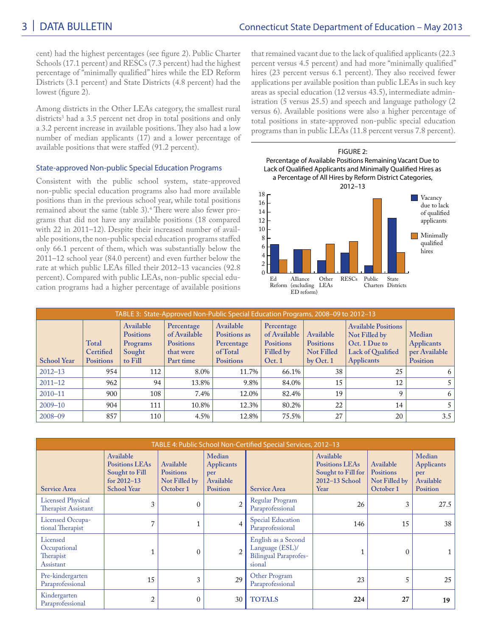cent) had the highest percentages (see figure 2). Public Charter Schools (17.1 percent) and RESCs (7.3 percent) had the highest percentage of "minimally qualified" hires while the ED Reform Districts (3.1 percent) and State Districts (4.8 percent) had the lowest (figure 2).

Among districts in the Other LEAs category, the smallest rural districts<sup>3</sup> had a 3.5 percent net drop in total positions and only a 3.2 percent increase in available positions. They also had a low number of median applicants (17) and a lower percentage of available positions that were staffed (91.2 percent).

## State-approved Non-public Special Education Programs

Consistent with the public school system, state-approved non-public special education programs also had more available positions than in the previous school year, while total positions remained about the same (table 3).<sup>4</sup> There were also fewer programs that did not have any available positions (18 compared with 22 in 2011–12). Despite their increased number of available positions, the non-public special education programs staffed only 66.1 percent of them, which was substantially below the 2011–12 school year (84.0 percent) and even further below the rate at which public LEAs filled their 2012–13 vacancies (92.8 percent). Compared with public LEAs, non-public special education programs had a higher percentage of available positions that remained vacant due to the lack of qualified applicants (22.3 percent versus 4.5 percent) and had more "minimally qualified" hires (23 percent versus 6.1 percent). They also received fewer applications per available position than public LEAs in such key areas as special education (12 versus 43.5), intermediate administration (5 versus 25.5) and speech and language pathology (2 versus 6). Available positions were also a higher percentage of total positions in state-approved non-public special education programs than in public LEAs (11.8 percent versus 7.8 percent).



| TABLE 3: State-Approved Non-Public Special Education Programs, 2008-09 to 2012-13 |                                        |                                                                |                                                                          |                                                                         |                                                                       |                                                                 |                                                                                                        |                                                                 |
|-----------------------------------------------------------------------------------|----------------------------------------|----------------------------------------------------------------|--------------------------------------------------------------------------|-------------------------------------------------------------------------|-----------------------------------------------------------------------|-----------------------------------------------------------------|--------------------------------------------------------------------------------------------------------|-----------------------------------------------------------------|
| <b>School Year</b>                                                                | Total<br>Certified<br><b>Positions</b> | Available<br><b>Positions</b><br>Programs<br>Sought<br>to Fill | Percentage<br>of Available<br><b>Positions</b><br>that were<br>Part time | Available<br>Positions as<br>Percentage<br>of Total<br><b>Positions</b> | Percentage<br>of Available<br><b>Positions</b><br>Filled by<br>Oct. 1 | Available<br><b>Positions</b><br><b>Not Filled</b><br>by Oct. 1 | <b>Available Positions</b><br>Not Filled by<br>Oct. 1 Due to<br>Lack of Qualified<br><b>Applicants</b> | Median<br><b>Applicants</b><br>per Available<br><b>Position</b> |
| $2012 - 13$                                                                       | 954                                    | 112                                                            | 8.0%                                                                     | 11.7%                                                                   | 66.1%                                                                 | 38                                                              | 25                                                                                                     | 6                                                               |
| $2011 - 12$                                                                       | 962                                    | 94                                                             | 13.8%                                                                    | 9.8%                                                                    | 84.0%                                                                 | 15                                                              | 12                                                                                                     |                                                                 |
| $2010 - 11$                                                                       | 900                                    | 108                                                            | 7.4%                                                                     | 12.0%                                                                   | 82.4%                                                                 | 19                                                              |                                                                                                        | 6                                                               |
| $2009 - 10$                                                                       | 904                                    | 111                                                            | 10.8%                                                                    | 12.3%                                                                   | 80.2%                                                                 | 22                                                              | 14                                                                                                     |                                                                 |
| $2008 - 09$                                                                       | 857                                    | 110                                                            | 4.5%                                                                     | 12.8%                                                                   | 75.5%                                                                 | 27                                                              | 20                                                                                                     | 3.5                                                             |

|                                                    | TABLE 4: Public School Non-Certified Special Services, 2012-13                                |                                                             |                                                                    |                                                                                  |                                                                                    |                                                             |                                                                    |  |
|----------------------------------------------------|-----------------------------------------------------------------------------------------------|-------------------------------------------------------------|--------------------------------------------------------------------|----------------------------------------------------------------------------------|------------------------------------------------------------------------------------|-------------------------------------------------------------|--------------------------------------------------------------------|--|
| <b>Service Area</b>                                | Available<br><b>Positions LEAs</b><br>Sought to Fill<br>for $2012 - 13$<br><b>School Year</b> | Available<br><b>Positions</b><br>Not Filled by<br>October 1 | Median<br><b>Applicants</b><br>per<br>Available<br><b>Position</b> | <b>Service Area</b>                                                              | Available<br><b>Positions LEAs</b><br>Sought to Fill for<br>2012-13 School<br>Year | Available<br><b>Positions</b><br>Not Filled by<br>October 1 | Median<br><b>Applicants</b><br>per<br>Available<br><b>Position</b> |  |
| <b>Licensed Physical</b><br>Therapist Assistant    | 3                                                                                             | $\theta$                                                    | $\overline{2}$                                                     | Regular Program<br>Paraprofessional                                              | 26                                                                                 | 3                                                           | 27.5                                                               |  |
| Licensed Occupa-<br>tional Therapist               | 7                                                                                             |                                                             | $\overline{4}$                                                     | <b>Special Education</b><br>Paraprofessional                                     | 146                                                                                | 15                                                          | 38                                                                 |  |
| Licensed<br>Occupational<br>Therapist<br>Assistant |                                                                                               | 0                                                           | $\overline{2}$                                                     | English as a Second<br>Language (ESL)/<br><b>Bilingual Paraprofes-</b><br>sional |                                                                                    | $\mathbf{0}$                                                |                                                                    |  |
| Pre-kindergarten<br>Paraprofessional               | 15                                                                                            | 3                                                           | 29                                                                 | Other Program<br>Paraprofessional                                                | 23                                                                                 | 5                                                           | 25                                                                 |  |
| Kindergarten<br>Paraprofessional                   | $\overline{2}$                                                                                | $\Omega$                                                    | 30                                                                 | <b>TOTALS</b>                                                                    | 224                                                                                | 27                                                          | 19                                                                 |  |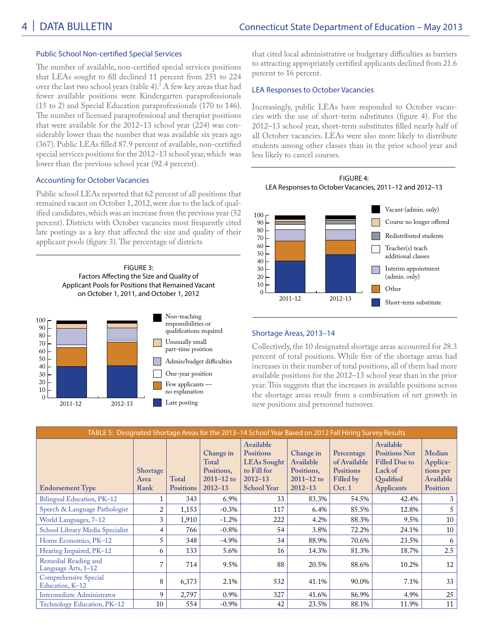### Public School Non-certified Special Services

The number of available, non-certified special services positions that LEAs sought to fill declined 11 percent from 251 to 224 over the last two school years (table 4).<sup>5</sup> A few key areas that had fewer available positions were Kindergarten paraprofessionals (15 to 2) and Special Education paraprofessionals (170 to 146). The number of licensed paraprofessional and therapist positions that were available for the 2012–13 school year (224) was considerably lower than the number that was available six years ago (367). Public LEAs filled 87.9 percent of available, non-certified special services positions for the 2012–13 school year, which was lower than the previous school year (92.4 percent).

## Accounting for October Vacancies

Public school LEAs reported that 62 percent of all positions that remained vacant on October 1, 2012, were due to the lack of qualified candidates, which was an increase from the previous year (52 percent). Districts with October vacancies most frequently cited late postings as a key that affected the size and quality of their applicant pools (figure 3). The percentage of districts

> FIGURE 3: Factors Affecting the Size and Quality of Applicant Pools for Positions that Remained Vacant on October 1, 2011, and October 1, 2012



that cited local administrative or budgetary difficulties as barriers to attracting appropriately certified applicants declined from 21.6 percent to 16 percent.

### LEA Responses to October Vacancies

Increasingly, public LEAs have responded to October vacancies with the use of short-term substitutes (figure 4). For the 2012–13 school year, short-term substitutes filled nearly half of all October vacancies. LEAs were also more likely to distribute students among other classes than in the prior school year and less likely to cancel courses.



#### Shortage Areas, 2013–14

Collectively, the 10 designated shortage areas accounted for 28.3 percent of total positions. While five of the shortage areas had increases in their number of total positions, all of them had more available positions for the 2012–13 school year than in the prior year. This suggests that the increases in available positions across the shortage areas result from a combination of net growth in new positions and personnel turnover.

| TABLE 5: Designated Shortage Areas for the 2013–14 School Year Based on 2012 Fall Hiring Survey Results |                                 |                           |                                                                   |                                                                                                         |                                                                       |                                                                      |                                                                                                        |                                                                 |
|---------------------------------------------------------------------------------------------------------|---------------------------------|---------------------------|-------------------------------------------------------------------|---------------------------------------------------------------------------------------------------------|-----------------------------------------------------------------------|----------------------------------------------------------------------|--------------------------------------------------------------------------------------------------------|-----------------------------------------------------------------|
| <b>Endorsement Type</b>                                                                                 | <b>Shortage</b><br>Area<br>Rank | Total<br><b>Positions</b> | Change in<br>Total<br>Positions,<br>$2011 - 12$ to<br>$2012 - 13$ | Available<br><b>Positions</b><br><b>LEAs Sought</b><br>to Fill for<br>$2012 - 13$<br><b>School Year</b> | Change in<br>Available<br>Positions,<br>$2011 - 12$ to<br>$2012 - 13$ | Percentage<br>of Available<br><b>Positions</b><br>Filled by<br>Oct.1 | Available<br><b>Positions Not</b><br><b>Filled Due to</b><br>Lack of<br>Qualified<br><b>Applicants</b> | Median<br>Applica-<br>tions per<br>Available<br><b>Position</b> |
| Bilingual Education, PK-12                                                                              | 1                               | 343                       | 6.9%                                                              | 33                                                                                                      | 83.3%                                                                 | 54.5%                                                                | 42.4%                                                                                                  | 3                                                               |
| Speech & Language Pathologist                                                                           | 2                               | 1,153                     | $-0.3\%$                                                          | 117                                                                                                     | 6.4%                                                                  | 85.5%                                                                | 12.8%                                                                                                  | 5                                                               |
| World Languages, 7–12                                                                                   | 3                               | 1,910                     | $-1.2%$                                                           | 222                                                                                                     | 4.2%                                                                  | 88.3%                                                                | 9.5%                                                                                                   | 10                                                              |
| School Library Media Specialist                                                                         | 4                               | 766                       | $-0.8\%$                                                          | 54                                                                                                      | 3.8%                                                                  | 72.2%                                                                | 24.1%                                                                                                  | 10                                                              |
| Home Economics, PK-12                                                                                   | 5                               | 348                       | $-4.9\%$                                                          | 34                                                                                                      | 88.9%                                                                 | 70.6%                                                                | 23.5%                                                                                                  | 6                                                               |
| Hearing Impaired, PK-12                                                                                 | 6                               | 133                       | 5.6%                                                              | 16                                                                                                      | 14.3%                                                                 | 81.3%                                                                | 18.7%                                                                                                  | 2.5                                                             |
| Remedial Reading and<br>Language Arts, 1-12                                                             | 7                               | 714                       | 9.5%                                                              | 88                                                                                                      | 20.5%                                                                 | 88.6%                                                                | 10.2%                                                                                                  | 12                                                              |
| Comprehensive Special<br>Education, K-12                                                                | 8                               | 6,373                     | 2.1%                                                              | 532                                                                                                     | 41.1%                                                                 | 90.0%                                                                | 7.1%                                                                                                   | 33                                                              |
| Intermediate Administrator                                                                              | 9                               | 2,797                     | 0.9%                                                              | 327                                                                                                     | 41.6%                                                                 | 86.9%                                                                | 4.9%                                                                                                   | 25                                                              |
| Technology Education, PK-12                                                                             | 10                              | 554                       | $-0.9\%$                                                          | 42                                                                                                      | 23.5%                                                                 | 88.1%                                                                | 11.9%                                                                                                  | 11                                                              |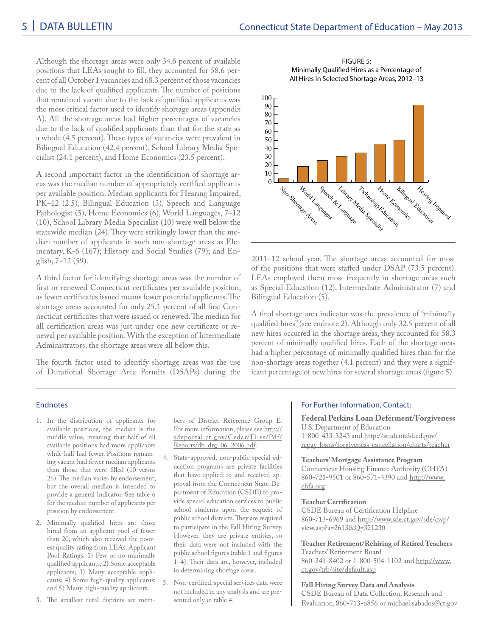Although the shortage areas were only 34.6 percent of available positions that LEAs sought to fill, they accounted for 58.6 percent of all October 1 vacancies and 68.3 percent of those vacancies due to the lack of qualified applicants. The number of positions that remained vacant due to the lack of qualified applicants was the most critical factor used to identify shortage areas (appendix A). All the shortage areas had higher percentages of vacancies due to the lack of qualified applicants than that for the state as a whole (4.5 percent). These types of vacancies were prevalent in Bilingual Education (42.4 percent), School Library Media Specialist (24.1 percent), and Home Economics (23.5 percent).

A second important factor in the identification of shortage areas was the median number of appropriately certified applicants per available position. Median applicants for Hearing Impaired, PK–12 (2.5), Bilingual Education (3), Speech and Language Pathologist (5), Home Economics (6), World Languages, 7–12 (10), School Library Media Specialist (10) were well below the statewide median (24). They were strikingly lower than the median number of applicants in such non-shortage areas as Elementary, K-6 (167); History and Social Studies (79); and English, 7–12 (59).

A third factor for identifying shortage areas was the number of first or renewed Connecticut certificates per available position, as fewer certificates issued means fewer potential applicants. The shortage areas accounted for only 25.1 percent of all first Connecticut certificates that were issued or renewed. The median for all certification areas was just under one new certificate or renewal per available position. With the exception of Intermediate Administrators, the shortage areas were all below this.

The fourth factor used to identify shortage areas was the use of Durational Shortage Area Permits (DSAPs) during the

FIGURE 5: Minimally Qualified Hires as a Percentage of All Hires in Selected Shortage Areas, 2012–13



2011–12 school year. The shortage areas accounted for most of the positions that were staffed under DSAP (73.5 percent). LEAs employed them most frequently in shortage areas such as Special Education (12), Intermediate Administrator (7) and Bilingual Education (5).

A final shortage area indicator was the prevalence of "minimally qualified hires" (see endnote 2). Although only 32.5 percent of all new hires occurred in the shortage areas, they accounted for 58.3 percent of minimally qualified hires. Each of the shortage areas had a higher percentage of minimally qualified hires than for the non-shortage areas together (4.1 percent) and they were a significant percentage of new hires for several shortage areas (figure 5).

#### Endnotes

- 1. In the distribution of applicants for available positions, the median is the middle value, meaning that half of all available positions had more applicants while half had fewer. Positions remaining vacant had fewer median applicants than those that were filled (10 versus 26). The median varies by endorsement, but the overall median is intended to provide a general indicator. See table 6 for the median number of applicants per position by endorsement.
- 2. Minimally qualified hires are those hired from an applicant pool of fewer than 20, which also received the poorest quality rating from LEAs. Applicant Pool Ratings: 1) Few or no minimally qualified applicants; 2) Some acceptable applicants; 3) Many acceptable appliand 5) Many high-quality applicants.
- 3. The smallest rural districts are mem-

bers of District Reference Group E. For more information, please see http:// sdeportal.ct.gov/Cedar/Files/Pdf/ Reports/db\_drg\_06\_2006.pdf.

4. State-approved, non-public special education programs are private facilities that have applied to and received approval from the Connecticut State Department of Education (CSDE) to provide special education services to public school students upon the request of public school districts. They are required to participate in the Fall Hiring Survey. However, they are private entities, so their data were not included with the public school figures (table 1 and figures 1–4). Their data are, however, included in determining shortage areas.

cants; 4) Some high-quality applicants; 5. Non-certified, special services data were not included in any analysis and are presented only in table 4.

#### For Further Information, Contact:

**Federal Perkins Loan Deferment/Forgiveness** U.S. Department of Education 1-800-433-3243 and http://studentaid.ed.gov/ repay-loans/forgiveness-cancellation/charts/teacher

**Teachers' Mortgage Assistance Program** Connecticut Housing Finance Authority (CHFA) 860-721-9501 or 860-571-4390 and http://www. chfa.org

#### **Teacher Certification**

CSDE Bureau of Certification Helpline 860-713-6969 and http://www.sde.ct.gov/sde/cwp/ view.asp?a=2613&Q=321230

**Teacher Retirement/Rehiring of Retired Teachers** Teachers' Retirement Board 860-241-8402 or 1-800-504-1102 and http://www. ct.gov/trb/site/default.asp

**Fall Hiring Survey Data and Analysis** CSDE Bureau of Data Collection, Research and Evaluation, 860-713-6856 or michael.sabados@ct.gov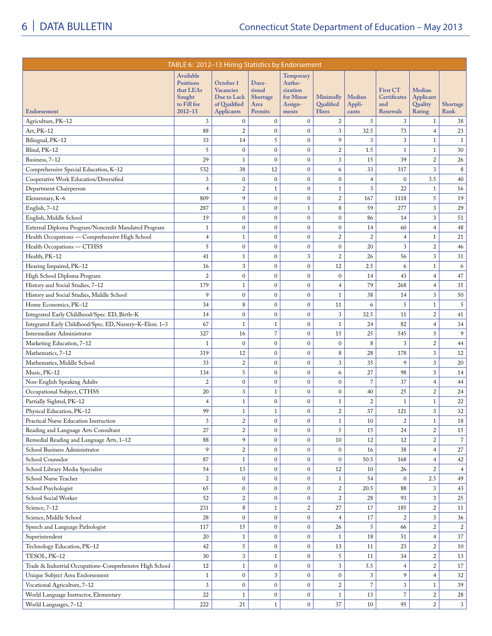|                                                          | TABLE 6: 2012-13 Hiring Statistics by Endorsement                                  |                                                                                   |                                                       |                                                                  |                                        |                  |                                                    |                                          |                  |
|----------------------------------------------------------|------------------------------------------------------------------------------------|-----------------------------------------------------------------------------------|-------------------------------------------------------|------------------------------------------------------------------|----------------------------------------|------------------|----------------------------------------------------|------------------------------------------|------------------|
| Endorsement                                              | Available<br><b>Positions</b><br>that LEAs<br>Sought<br>to Fill for<br>$2012 - 13$ | October 1<br><b>Vacancies</b><br>Due to Lack<br>of Qualified<br><b>Applicants</b> | Dura-<br>tional<br><b>Shortage</b><br>Area<br>Permits | Temporary<br>Autho-<br>rization<br>for Minor<br>Assign-<br>ments | Minimally<br>Qualified<br><b>Hires</b> | Median<br>Appli- | <b>First CT</b><br>Certificates<br>and<br>Renewals | Median<br>Applicant<br>Quality<br>Rating | Shortage<br>Rank |
|                                                          |                                                                                    |                                                                                   |                                                       |                                                                  |                                        | cants            |                                                    |                                          |                  |
| Agriculture, PK-12                                       | 3                                                                                  | $\mathbf{0}$                                                                      | $\mathbf{0}$                                          | $\mathbf{0}$                                                     | 2                                      | 5                | 3                                                  | $\mathbf{1}$                             | 38               |
| Art, PK-12                                               | 88                                                                                 | $\sqrt{2}$                                                                        | $\mathbf{0}$                                          | $\mathbf{0}$                                                     | 3                                      | 32.5             | 73                                                 | $\overline{4}$                           | 23               |
| Bilingual, PK-12                                         | 33                                                                                 | 14                                                                                | 5                                                     | $\mathbf{0}$                                                     | 9                                      | 3                | 3                                                  | $\mathbf{1}$                             | $\mathbf{1}$     |
| Blind, PK-12                                             | 5                                                                                  | $\mathbf{0}$                                                                      | $\boldsymbol{0}$                                      | $\mathbf{0}$                                                     | $\boldsymbol{2}$                       | 1.5              | $\mathbf{1}$                                       | $\mathbf{1}$                             | 30               |
| Business, 7-12                                           | 29                                                                                 | 1                                                                                 | $\mathbf{0}$                                          | $\mathbf{0}$                                                     | $\sqrt{3}$                             | 15               | 39                                                 | $\overline{c}$                           | $26\,$           |
| Comprehensive Special Education, K-12                    | 532                                                                                | 38                                                                                | 12                                                    | $\mathbf{0}$                                                     | 6                                      | 33               | 317                                                | 3                                        | 8                |
| Cooperative Work Education/Diversified                   | 3                                                                                  | $\mathbf{0}$                                                                      | $\boldsymbol{0}$                                      | $\mathbf{0}$                                                     | $\mathbf{0}$                           | $\overline{4}$   | $\mathbf{0}$                                       | 3.5                                      | 40               |
| Department Chairperson                                   | $\overline{4}$                                                                     | $\overline{c}$                                                                    | $\mathbf{1}$                                          | $\mathbf{0}$                                                     | $\mathbf{1}$                           | 3                | 22                                                 | $\mathbf{1}$                             | 16               |
| Elementary, K-6                                          | 809                                                                                | 9                                                                                 | $\boldsymbol{0}$                                      | $\mathbf{0}$                                                     | $\overline{2}$                         | 167              | 1118                                               | 5                                        | 19               |
| English, 7-12                                            | 287                                                                                | 1                                                                                 | $\mathbf{0}$                                          | $\mathbf{1}$                                                     | 8                                      | 59               | 277                                                | 3                                        | 29               |
| English, Middle School                                   | 19                                                                                 | $\mathbf{0}$                                                                      | $\boldsymbol{0}$                                      | $\mathbf{0}$                                                     | $\mathbf{0}$                           | 86               | 14                                                 | 3                                        | 51               |
| External Diploma Program/Noncredit Mandated Program      | $\mathbf{1}$                                                                       | $\mathbf{0}$                                                                      | $\boldsymbol{0}$                                      | $\mathbf{0}$                                                     | $\mathbf{0}$                           | 14               | 60                                                 | $\overline{4}$                           | 48               |
| Health Occupations — Comprehensive High School           | $\overline{4}$                                                                     | 1                                                                                 | $\boldsymbol{0}$                                      | $\mathbf{0}$                                                     | $\boldsymbol{2}$                       | $\overline{2}$   | $\overline{4}$                                     | $\mathbf{1}$                             | 21               |
| Health Occupations - CTHSS                               | 5                                                                                  | $\mathbf{0}$                                                                      | $\boldsymbol{0}$                                      | $\mathbf{0}$                                                     | $\boldsymbol{0}$                       | 20               | 3                                                  | $\overline{c}$                           | $46\,$           |
| Health, PK-12                                            | 41                                                                                 | 1                                                                                 | $\boldsymbol{0}$                                      | 3                                                                | $\boldsymbol{2}$                       | 26               | 56                                                 | 3                                        | 31               |
| Hearing Impaired, PK-12                                  | 16                                                                                 | 3                                                                                 | $\boldsymbol{0}$                                      | $\mathbf{0}$                                                     | 12                                     | 2.5              | 6                                                  | $\mathbf{1}$                             | 6                |
| High School Diploma Program                              | $\overline{c}$                                                                     | $\mathbf{0}$                                                                      | $\boldsymbol{0}$                                      | $\mathbf{0}$                                                     | $\boldsymbol{0}$                       | 14               | 43                                                 | $\overline{4}$                           | $47\,$           |
| History and Social Studies, 7-12                         | 179                                                                                | $\mathbf{1}$                                                                      | $\boldsymbol{0}$                                      | $\mathbf{0}$                                                     | $\overline{4}$                         | 79               | 268                                                | $\overline{4}$                           | 35               |
| History and Social Studies, Middle School                | 9                                                                                  | $\mathbf{0}$                                                                      | $\boldsymbol{0}$                                      | $\boldsymbol{0}$                                                 | $1\,$                                  | 38               | 14                                                 | 3                                        | 50               |
| Home Economics, PK-12                                    | 34                                                                                 | 8                                                                                 | $\boldsymbol{0}$                                      | $\mathbf{0}$                                                     | 11                                     | 6                | 5                                                  | $\mathbf{1}$                             | 5                |
| Integrated Early Childhood/Spec. ED, Birth-K             | 14                                                                                 | $\mathbf{0}$                                                                      | $\boldsymbol{0}$                                      | $\mathbf{0}$                                                     | $\mathfrak{Z}$                         | 32.5             | 11                                                 | $\overline{c}$                           | 41               |
| Integrated Early Childhood/Spec. ED, Nursery-K-Elem. 1-3 | 67                                                                                 | 1                                                                                 | $1\,$                                                 | $\mathbf{0}$                                                     | $1\,$                                  | 24               | 82                                                 | $\overline{4}$                           | 34               |
| Intermediate Administrator                               | 327                                                                                | 16                                                                                | $\overline{7}$                                        | $\mathbf{0}$                                                     | 15                                     | 25               | 545                                                | 3                                        | 9                |
| Marketing Education, 7-12                                | $\mathbf{1}$                                                                       | $\mathbf{0}$                                                                      | $\boldsymbol{0}$                                      | $\mathbf{0}$                                                     | $\boldsymbol{0}$                       | 8                | 3                                                  | $\overline{c}$                           | 44               |
| Mathematics, 7-12                                        | 319                                                                                | 12                                                                                | $\boldsymbol{0}$                                      | $\mathbf{0}$                                                     | 8                                      | 28               | 178                                                | 3                                        | 12               |
| Mathematics, Middle School                               | 33                                                                                 | $\overline{2}$                                                                    | $\boldsymbol{0}$                                      | $\mathbf{0}$                                                     | 3                                      | 35               | 9                                                  | 3                                        | 20               |
| Music, PK-12                                             | 134                                                                                | 5                                                                                 | $\boldsymbol{0}$                                      | $\mathbf{0}$                                                     | 6                                      | 27               | 98                                                 | 3                                        | 14               |
| Non-English Speaking Adults                              | $\overline{c}$                                                                     | $\boldsymbol{0}$                                                                  | $\boldsymbol{0}$                                      | $\mathbf{0}$                                                     | $\boldsymbol{0}$                       | $\overline{7}$   | 37                                                 | $\overline{4}$                           | 44               |
| Occupational Subject, CTHSS                              | 20                                                                                 | $\sqrt{3}$                                                                        | $\mathbf{1}$                                          | $\mathbf{0}$                                                     | $\boldsymbol{0}$                       | 40               | 25                                                 | $\overline{c}$                           | 24               |
| Partially Sighted, PK-12                                 | 4                                                                                  | 1                                                                                 | $\boldsymbol{0}$                                      | $\boldsymbol{0}$                                                 | $\mathbf{1}$                           | $\boldsymbol{2}$ | $1\,$                                              | $\mathbf{1}$                             | 22               |
| Physical Education, PK-12                                | 99                                                                                 | 1                                                                                 | $\mathbf{1}$                                          | $\mathbf{0}$                                                     | $\sqrt{2}$                             | 37               | 121                                                | 3                                        | 32               |
| Practical Nurse Education Instruction                    | 3                                                                                  | $\sqrt{2}$                                                                        | $\boldsymbol{0}$                                      | $\boldsymbol{0}$                                                 | $\mathbf{1}$                           | 10               | $\boldsymbol{2}$                                   | $\mathbf{1}$                             | 18               |
| Reading and Language Arts Consultant                     | 27                                                                                 | $\overline{2}$                                                                    | $\mathbf{0}$                                          | $\mathbf{0}$                                                     | 5                                      | 15               | 24                                                 | $\overline{c}$                           | $15\,$           |
| Remedial Reading and Language Arts, 1-12                 | 88                                                                                 | 9                                                                                 | $\boldsymbol{0}$                                      | $\mathbf{0}$                                                     | 10                                     | 12               | 12                                                 | $\overline{c}$                           | $\,7$            |
| School Business Administrator                            | 9                                                                                  | $\sqrt{2}$                                                                        | $\boldsymbol{0}$                                      | $\mathbf{0}$                                                     | $\mathbf{0}$                           | 16               | 38                                                 | $\overline{4}$                           | 27               |
| School Counselor                                         | 87                                                                                 | $\mathbf{1}$                                                                      | $\boldsymbol{0}$                                      | $\mathbf{0}$                                                     | $\mathbf{0}$                           | 50.5             | 168                                                | $\overline{4}$                           | 42               |
| School Library Media Specialist                          | 54                                                                                 | 13                                                                                | $\mathbf 0$                                           | $\mathbf{0}$                                                     | 12                                     | 10               | 26                                                 | $\overline{c}$                           | $\overline{4}$   |
| School Nurse Teacher                                     | $\overline{c}$                                                                     | $\mathbf{0}$                                                                      | $\mathbf 0$                                           | $\mathbf{0}$                                                     | $\mathbf{1}$                           | 54               | $\mathbf{0}$                                       | 2.5                                      | 49               |
| School Psychologist                                      | 65                                                                                 | $\mathbf{0}$                                                                      | $\mathbf 0$                                           | $\mathbf{0}$                                                     | $\sqrt{2}$                             | 20.5             | 88                                                 | 3                                        | 43               |
| School Social Worker                                     | 52                                                                                 | $\sqrt{2}$                                                                        | $\boldsymbol{0}$                                      | $\boldsymbol{0}$                                                 | $\sqrt{2}$                             | 28               | 93                                                 | 3                                        | 25               |
| Science, 7-12                                            | 231                                                                                | 8                                                                                 | $1\,$                                                 | $\sqrt{2}$                                                       | 27                                     | 17               | 185                                                | $\overline{c}$                           | 11               |
| Science, Middle School                                   | 28                                                                                 | $\boldsymbol{0}$                                                                  | $\boldsymbol{0}$                                      | $\boldsymbol{0}$                                                 | $\overline{4}$                         | 17               | $\overline{c}$                                     | 3                                        | 36               |
| Speech and Language Pathologist                          | 117                                                                                | 15                                                                                | $\boldsymbol{0}$                                      | $\boldsymbol{0}$                                                 | 26                                     | 5                | 66                                                 | $\overline{c}$                           | $\overline{c}$   |
| Superintendent                                           | 20                                                                                 | $\mathbf{1}$                                                                      | $\boldsymbol{0}$                                      | $\boldsymbol{0}$                                                 | $\mathbf{1}$                           | 18               | 51                                                 | $\overline{4}$                           | $37\,$           |
| Technology Education, PK-12                              | $42\,$                                                                             | 5                                                                                 | $\mathbf 0$                                           | $\boldsymbol{0}$                                                 | 13                                     | 11               | 23                                                 | $\overline{c}$                           | 10               |
| TESOL, PK-12                                             | $30\,$                                                                             | $\mathfrak{Z}$                                                                    | $1\,$                                                 | $\boldsymbol{0}$                                                 | 5                                      | 11               | 34                                                 | $\overline{c}$                           | 13               |
| Trade & Industrial Occupations-Comprehensive High School | 12                                                                                 | $\mathbf{1}$                                                                      | $\boldsymbol{0}$                                      | $\boldsymbol{0}$                                                 | $\sqrt{3}$                             | 5.5              | $\overline{4}$                                     | $\overline{c}$                           | 17               |
| Unique Subject Area Endorsement                          | $1\,$                                                                              | $\mathbf{0}$                                                                      | $\mathfrak{Z}$                                        | $\boldsymbol{0}$                                                 | $\boldsymbol{0}$                       | $\mathfrak{Z}$   | 9                                                  | $\overline{4}$                           | 32               |
| Vocational Agriculture, 7-12                             | 3                                                                                  | $\mathbf{0}$                                                                      | $\boldsymbol{0}$                                      | $\boldsymbol{0}$                                                 | $\sqrt{2}$                             | $\overline{7}$   | 3                                                  | $\mathbf{1}$                             | 39               |
| World Language Instructor, Elementary                    | 22                                                                                 | 1                                                                                 | $\mathbf 0$                                           | $\boldsymbol{0}$                                                 | $\mathbf 1$                            | 13               | $\overline{7}$                                     | $\overline{c}$                           | 28               |
| World Languages, 7-12                                    | 222                                                                                | 21                                                                                | $\mathbf{1}$                                          | $\boldsymbol{0}$                                                 | 37                                     | 10               | 95                                                 | $\overline{2}$                           | 3 <sup>1</sup>   |